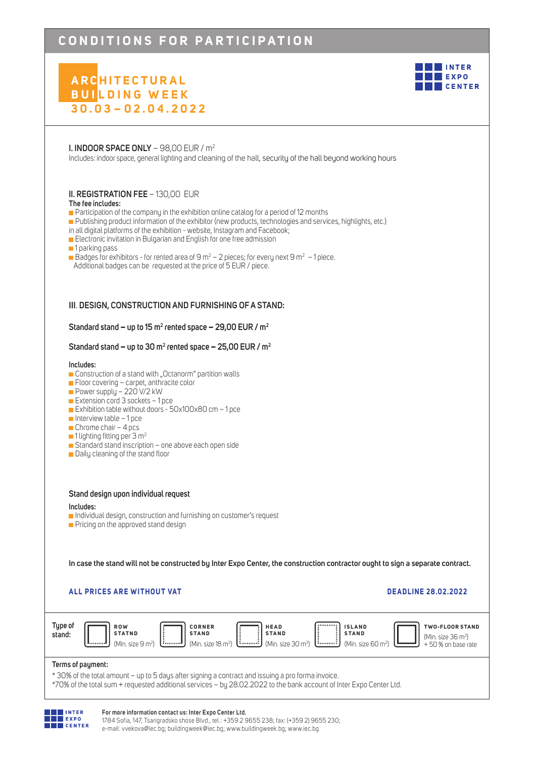# CONDITIONS FOR PARTICIPATION

# **ARC H I T E C T U R A L BUI LDING WEEK 3 0 . 0 3 – 0 2 . 0 4 . 2022**



## **I. INDOOR SPACE ONLY** – 98,00 EUR / m2

Includes: indoor space, general lighting and cleaning of the hall, security of the hall beyond working hours

## **II. REGISTRATION FEE** – 130,00 EUR

## **The fee includes:**

**Participation of the company in the exhibition online catalog for a period of 12 months** 

- Publishing product information of the exhibitor (new products, technologies and services, highlights, etc.)
- in all digital platforms of the exhibition website, Instagram and Facebook;
- Electronic invitation in Bulgarian and English for one free admission
- **1** parking pass
- $\blacksquare$  Badges for exhibitors for rented area of 9 m<sup>2</sup> 2 pieces; for every next 9 m<sup>2</sup> 1 piece.
- Additional badges can be requested at the price of 5 EUR / piece.

## **III**. **DESIGN, CONSTRUCTION AND FURNISHING OF A STAND:**

## **Standard stand − up to 15 m2 rented space − 29,00 EUR / m2**

## **Standard stand − up to 30 m2 rented space − 25,00 EUR / m2**

## **Includes:**

- **Construction of a stand with "Octanorm" partition walls**
- Floor covering carpet, anthracite color
- Power supply 220 V/2 kW
- Extension cord  $3$  sockets  $-1$  pce
- Exhibition table without doors 50x100x80 cm 1 pce
- $\blacksquare$  Interview table 1 pce
- $\Box$  Chrome chair 4 pcs
- $\blacksquare$  1 lighting fitting per 3 m<sup>2</sup>
- Standard stand inscription one above each open side
- **Daily cleaning of the stand floor**

## **Stand design upon individual request**

## **Includes:**

- Individual design, construction and furnishing on customer's request
- $\blacksquare$  Pricing on the approved stand design

**In case the stand will not be constructed by Inter Expo Center, the construction contractor ought to sign a separate contract.**

## **ALL PRICES ARE WITHOUT VAT DEADLINE 28.02.2022**





## **For more information contact us: Inter Expo Center Ltd.**

1784 Sofia, 147, Tsarigradsko shose Blvd., tel.: +359 2 9655 238; fax: (+359 2) 9655 230; e-mail: vvekova@iec.bg; buildingweek@iec.bg; www.buildingweek.bg; www.iec.bg